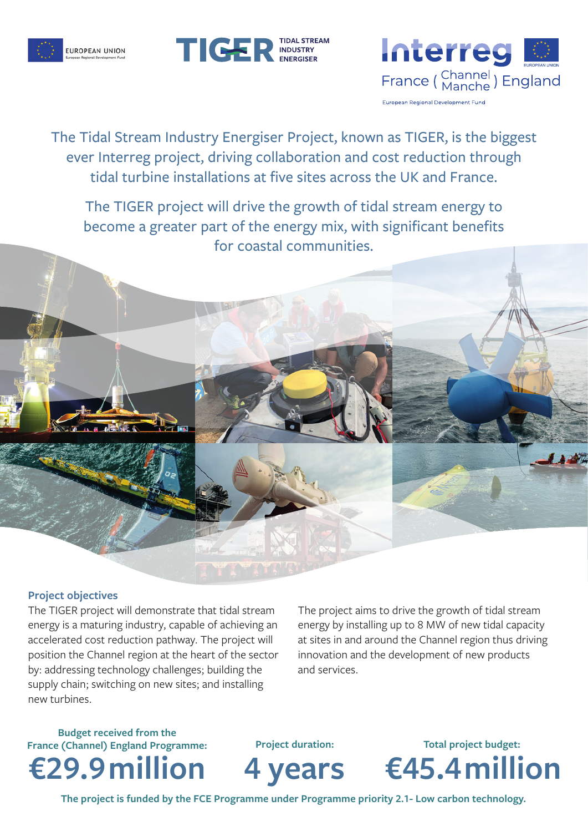





The Tidal Stream Industry Energiser Project, known as TIGER, is the biggest ever Interreg project, driving collaboration and cost reduction through tidal turbine installations at five sites across the UK and France.

The TIGER project will drive the growth of tidal stream energy to become a greater part of the energy mix, with significant benefits for coastal communities.

## **Project objectives**

The TIGER project will demonstrate that tidal stream energy is a maturing industry, capable of achieving an accelerated cost reduction pathway. The project will position the Channel region at the heart of the sector by: addressing technology challenges; building the supply chain; switching on new sites; and installing new turbines.

The project aims to drive the growth of tidal stream energy by installing up to 8 MW of new tidal capacity at sites in and around the Channel region thus driving innovation and the development of new products and services.

**Budget received from the France (Channel) England Programme:**



**Project duration:**



**€45.4million Total project budget:**

**The project is funded by the FCE Programme under Programme priority 2.1- Low carbon technology.**